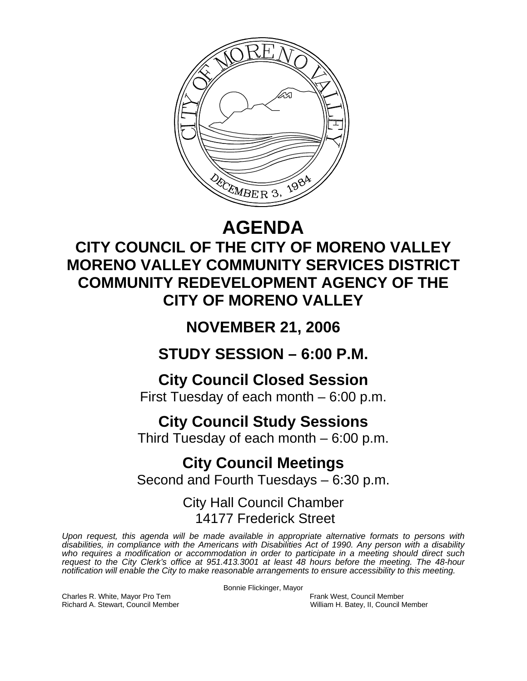

# **AGENDA**

## **CITY COUNCIL OF THE CITY OF MORENO VALLEY MORENO VALLEY COMMUNITY SERVICES DISTRICT COMMUNITY REDEVELOPMENT AGENCY OF THE CITY OF MORENO VALLEY**

### **NOVEMBER 21, 2006**

**STUDY SESSION – 6:00 P.M.** 

**City Council Closed Session**  First Tuesday of each month – 6:00 p.m.

**City Council Study Sessions** 

Third Tuesday of each month – 6:00 p.m.

**City Council Meetings**  Second and Fourth Tuesdays – 6:30 p.m.

> City Hall Council Chamber 14177 Frederick Street

*Upon request, this agenda will be made available in appropriate alternative formats to persons with disabilities, in compliance with the Americans with Disabilities Act of 1990. Any person with a disability*  who requires a modification or accommodation in order to participate in a meeting should direct such *request to the City Clerk's office at 951.413.3001 at least 48 hours before the meeting. The 48-hour notification will enable the City to make reasonable arrangements to ensure accessibility to this meeting.* 

Bonnie Flickinger, Mayor

Charles R. White, Mayor Pro Tem Frank West, Council Member Richard A. Stewart, Council Member William H. Batey, II, Council Member William H. Batey, II, Council Member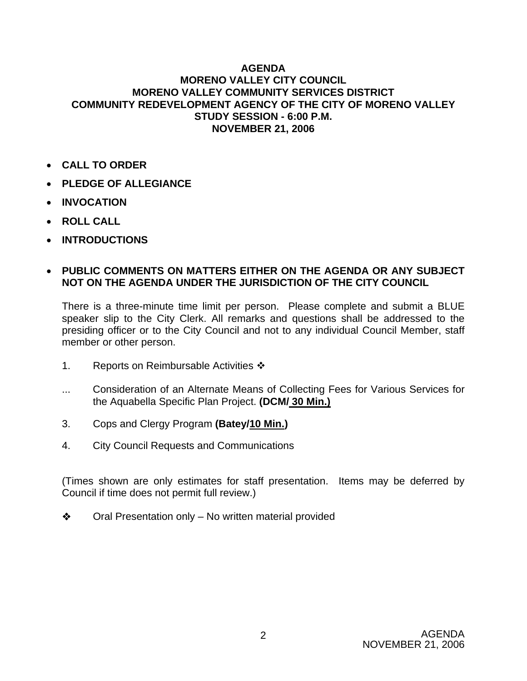#### **AGENDA MORENO VALLEY CITY COUNCIL MORENO VALLEY COMMUNITY SERVICES DISTRICT COMMUNITY REDEVELOPMENT AGENCY OF THE CITY OF MORENO VALLEY STUDY SESSION - 6:00 P.M. NOVEMBER 21, 2006**

- **CALL TO ORDER**
- **PLEDGE OF ALLEGIANCE**
- **INVOCATION**
- **ROLL CALL**
- **INTRODUCTIONS**

#### • **PUBLIC COMMENTS ON MATTERS EITHER ON THE AGENDA OR ANY SUBJECT NOT ON THE AGENDA UNDER THE JURISDICTION OF THE CITY COUNCIL**

There is a three-minute time limit per person. Please complete and submit a BLUE speaker slip to the City Clerk. All remarks and questions shall be addressed to the presiding officer or to the City Council and not to any individual Council Member, staff member or other person.

- 1. Reports on Reimbursable Activities  $\cdot\cdot\cdot$
- ... Consideration of an Alternate Means of Collecting Fees for Various Services for the Aquabella Specific Plan Project. **(DCM/ 30 Min.)**
- 3. Cops and Clergy Program **(Batey/10 Min.)**
- 4. City Council Requests and Communications

(Times shown are only estimates for staff presentation. Items may be deferred by Council if time does not permit full review.)

 $\triangle$  Oral Presentation only – No written material provided